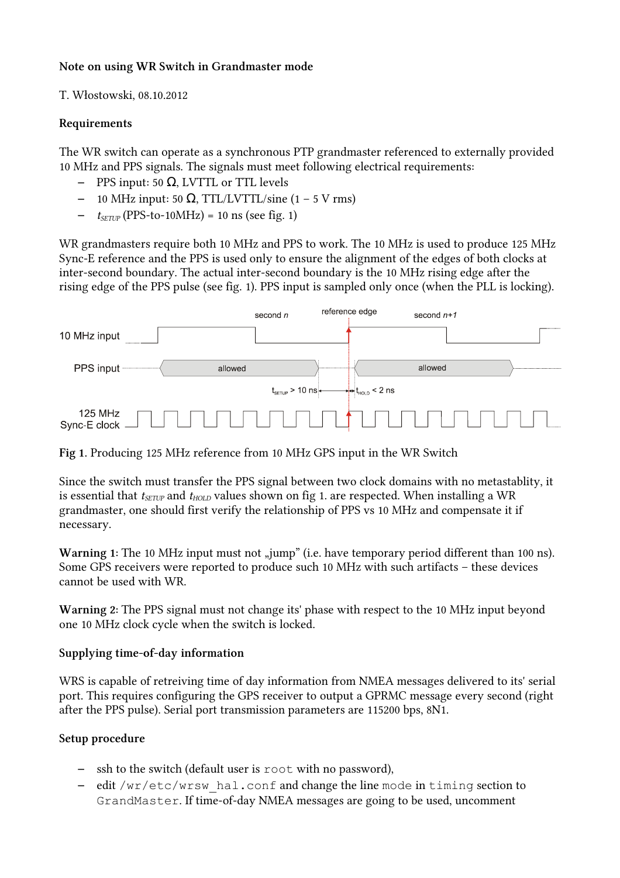## Note on using WR Switch in Grandmaster mode

T. Włostowski, 08.10.2012

#### Requirements

The WR switch can operate as a synchronous PTP grandmaster referenced to externally provided 10 MHz and PPS signals. The signals must meet following electrical requirements:

- $-$  PPS input: 50 Ω, LVTTL or TTL levels
- 10 MHz input: 50 Ω, TTL/LVTTL/sine (1 5 V rms)
- $t_{SETUP}$  (PPS-to-10MHz) = 10 ns (see fig. 1)

WR grandmasters require both 10 MHz and PPS to work. The 10 MHz is used to produce 125 MHz Sync-E reference and the PPS is used only to ensure the alignment of the edges of both clocks at inter-second boundary. The actual inter-second boundary is the 10 MHz rising edge after the rising edge of the PPS pulse (see fig. 1). PPS input is sampled only once (when the PLL is locking).



Fig 1. Producing 125 MHz reference from 10 MHz GPS input in the WR Switch

Since the switch must transfer the PPS signal between two clock domains with no metastablity, it is essential that  $t_{\text{SETUP}}$  and  $t_{\text{HOLD}}$  values shown on fig 1. are respected. When installing a WR grandmaster, one should first verify the relationship of PPS vs 10 MHz and compensate it if necessary.

Warning 1: The 10 MHz input must not "jump" (i.e. have temporary period different than 100 ns). Some GPS receivers were reported to produce such 10 MHz with such artifacts – these devices cannot be used with WR.

Warning 2: The PPS signal must not change its' phase with respect to the 10 MHz input beyond one 10 MHz clock cycle when the switch is locked.

# Supplying time-of-day information

WRS is capable of retreiving time of day information from NMEA messages delivered to its' serial port. This requires configuring the GPS receiver to output a GPRMC message every second (right after the PPS pulse). Serial port transmission parameters are 115200 bps, 8N1.

# Setup procedure

- ssh to the switch (default user is root with no password),
- edit /wr/etc/wrsw\_hal.conf and change the line mode in timing section to GrandMaster. If time-of-day NMEA messages are going to be used, uncomment